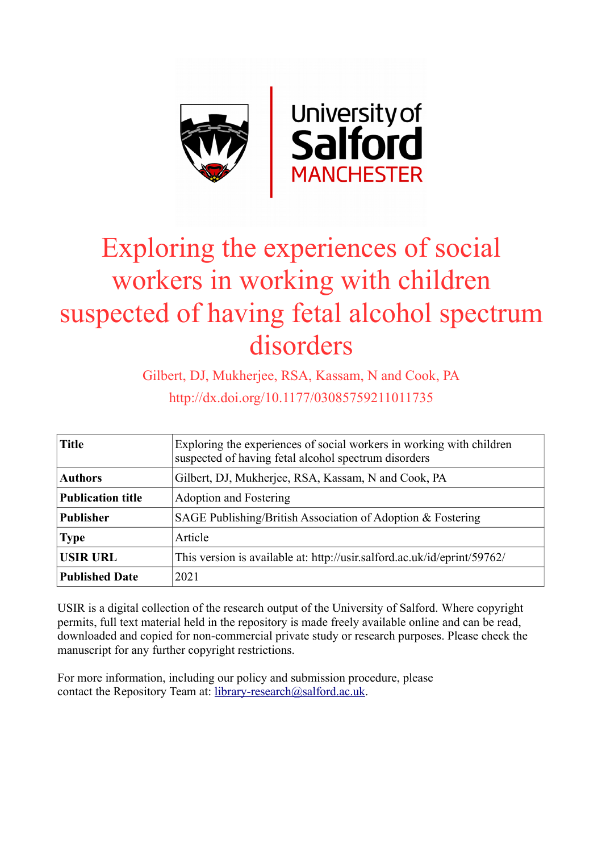

# Exploring the experiences of social workers in working with children suspected of having fetal alcohol spectrum disorders

Gilbert, DJ, Mukherjee, RSA, Kassam, N and Cook, PA http://dx.doi.org/10.1177/03085759211011735

| <b>Title</b>             | Exploring the experiences of social workers in working with children<br>suspected of having fetal alcohol spectrum disorders |  |  |
|--------------------------|------------------------------------------------------------------------------------------------------------------------------|--|--|
| <b>Authors</b>           | Gilbert, DJ, Mukherjee, RSA, Kassam, N and Cook, PA                                                                          |  |  |
| <b>Publication title</b> | Adoption and Fostering                                                                                                       |  |  |
| <b>Publisher</b>         | SAGE Publishing/British Association of Adoption $\&$ Fostering                                                               |  |  |
| <b>Type</b>              | Article                                                                                                                      |  |  |
| <b>USIR URL</b>          | This version is available at: http://usir.salford.ac.uk/id/eprint/59762/                                                     |  |  |
| <b>Published Date</b>    | 2021                                                                                                                         |  |  |

USIR is a digital collection of the research output of the University of Salford. Where copyright permits, full text material held in the repository is made freely available online and can be read, downloaded and copied for non-commercial private study or research purposes. Please check the manuscript for any further copyright restrictions.

For more information, including our policy and submission procedure, please contact the Repository Team at: [library-research@salford.ac.uk.](mailto:library-research@salford.ac.uk)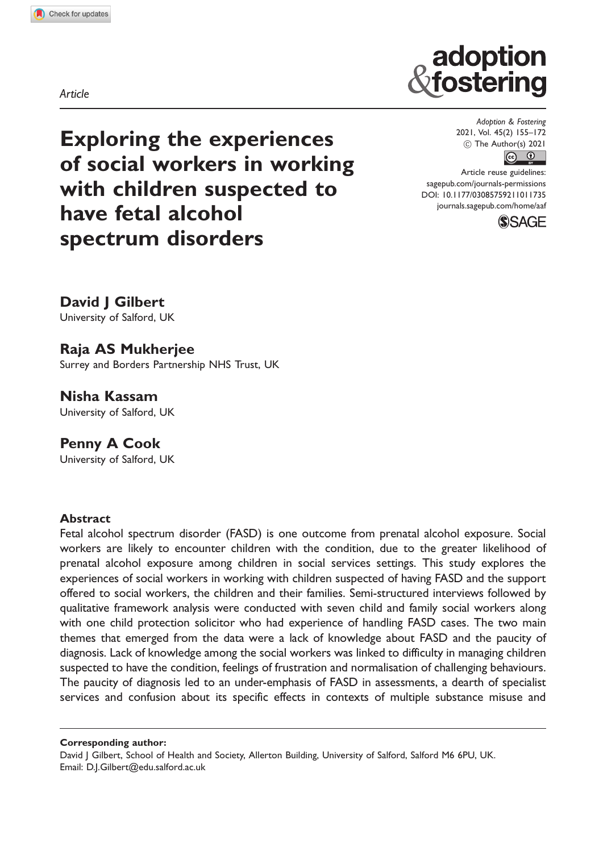Article

Exploring the experiences of social workers in working with children suspected to have fetal alcohol spectrum disorders

Adoption & Fostering 2021, Vol. 45(2) 155–172  $\circledcirc$  The Author(s) 2021  $\boxed{6}$   $\boxed{0}$ 

adoption fostering

Article reuse guidelines: [sagepub.com/journals-permissions](http://uk.sagepub.com/en-gb/journals-permissions) [DOI: 10.1177/03085759211011735](http://dx.doi.org/10.1177/03085759211011735) <journals.sagepub.com/home/aaf>



David J Gilbert

University of Salford, UK

# Raja AS Mukherjee

Surrey and Borders Partnership NHS Trust, UK

Nisha Kassam University of Salford, UK

Penny A Cook University of Salford, UK

## Abstract

Fetal alcohol spectrum disorder (FASD) is one outcome from prenatal alcohol exposure. Social workers are likely to encounter children with the condition, due to the greater likelihood of prenatal alcohol exposure among children in social services settings. This study explores the experiences of social workers in working with children suspected of having FASD and the support offered to social workers, the children and their families. Semi-structured interviews followed by qualitative framework analysis were conducted with seven child and family social workers along with one child protection solicitor who had experience of handling FASD cases. The two main themes that emerged from the data were a lack of knowledge about FASD and the paucity of diagnosis. Lack of knowledge among the social workers was linked to difficulty in managing children suspected to have the condition, feelings of frustration and normalisation of challenging behaviours. The paucity of diagnosis led to an under-emphasis of FASD in assessments, a dearth of specialist services and confusion about its specific effects in contexts of multiple substance misuse and

Corresponding author:

David J Gilbert, School of Health and Society, Allerton Building, University of Salford, Salford M6 6PU, UK. Email: [D.J.Gilbert@edu.salford.ac.uk](mailto:D.J.Gilbert@edu.salford.ac.uk)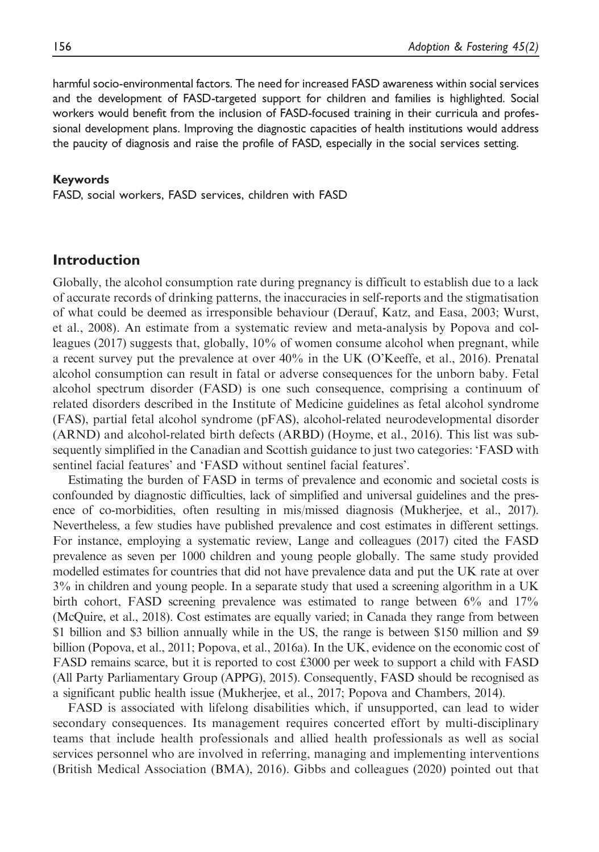harmful socio-environmental factors. The need for increased FASD awareness within social services and the development of FASD-targeted support for children and families is highlighted. Social workers would benefit from the inclusion of FASD-focused training in their curricula and professional development plans. Improving the diagnostic capacities of health institutions would address the paucity of diagnosis and raise the profile of FASD, especially in the social services setting.

#### Keywords

FASD, social workers, FASD services, children with FASD

## Introduction

Globally, the alcohol consumption rate during pregnancy is difficult to establish due to a lack of accurate records of drinking patterns, the inaccuracies in self-reports and the stigmatisation of what could be deemed as irresponsible behaviour (Derauf, Katz, and Easa, 2003; Wurst, et al., 2008). An estimate from a systematic review and meta-analysis by Popova and colleagues (2017) suggests that, globally, 10% of women consume alcohol when pregnant, while a recent survey put the prevalence at over 40% in the UK (O'Keeffe, et al., 2016). Prenatal alcohol consumption can result in fatal or adverse consequences for the unborn baby. Fetal alcohol spectrum disorder (FASD) is one such consequence, comprising a continuum of related disorders described in the Institute of Medicine guidelines as fetal alcohol syndrome (FAS), partial fetal alcohol syndrome (pFAS), alcohol-related neurodevelopmental disorder (ARND) and alcohol-related birth defects (ARBD) (Hoyme, et al., 2016). This list was subsequently simplified in the Canadian and Scottish guidance to just two categories: 'FASD with sentinel facial features' and 'FASD without sentinel facial features'.

Estimating the burden of FASD in terms of prevalence and economic and societal costs is confounded by diagnostic difficulties, lack of simplified and universal guidelines and the presence of co-morbidities, often resulting in mis/missed diagnosis (Mukherjee, et al., 2017). Nevertheless, a few studies have published prevalence and cost estimates in different settings. For instance, employing a systematic review, Lange and colleagues (2017) cited the FASD prevalence as seven per 1000 children and young people globally. The same study provided modelled estimates for countries that did not have prevalence data and put the UK rate at over 3% in children and young people. In a separate study that used a screening algorithm in a UK birth cohort, FASD screening prevalence was estimated to range between 6% and 17% (McQuire, et al., 2018). Cost estimates are equally varied; in Canada they range from between \$1 billion and \$3 billion annually while in the US, the range is between \$150 million and \$9 billion (Popova, et al., 2011; Popova, et al., 2016a). In the UK, evidence on the economic cost of FASD remains scarce, but it is reported to cost £3000 per week to support a child with FASD (All Party Parliamentary Group (APPG), 2015). Consequently, FASD should be recognised as a significant public health issue (Mukherjee, et al., 2017; Popova and Chambers, 2014).

FASD is associated with lifelong disabilities which, if unsupported, can lead to wider secondary consequences. Its management requires concerted effort by multi-disciplinary teams that include health professionals and allied health professionals as well as social services personnel who are involved in referring, managing and implementing interventions (British Medical Association (BMA), 2016). Gibbs and colleagues (2020) pointed out that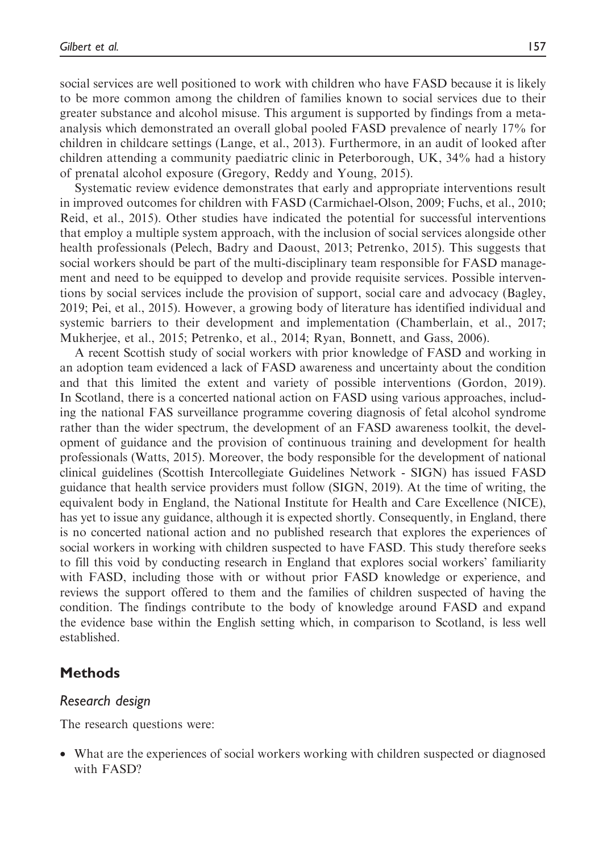social services are well positioned to work with children who have FASD because it is likely to be more common among the children of families known to social services due to their greater substance and alcohol misuse. This argument is supported by findings from a metaanalysis which demonstrated an overall global pooled FASD prevalence of nearly 17% for children in childcare settings (Lange, et al., 2013). Furthermore, in an audit of looked after children attending a community paediatric clinic in Peterborough, UK, 34% had a history of prenatal alcohol exposure (Gregory, Reddy and Young, 2015).

Systematic review evidence demonstrates that early and appropriate interventions result in improved outcomes for children with FASD (Carmichael-Olson, 2009; Fuchs, et al., 2010; Reid, et al., 2015). Other studies have indicated the potential for successful interventions that employ a multiple system approach, with the inclusion of social services alongside other health professionals (Pelech, Badry and Daoust, 2013; Petrenko, 2015). This suggests that social workers should be part of the multi-disciplinary team responsible for FASD management and need to be equipped to develop and provide requisite services. Possible interventions by social services include the provision of support, social care and advocacy (Bagley, 2019; Pei, et al., 2015). However, a growing body of literature has identified individual and systemic barriers to their development and implementation (Chamberlain, et al., 2017; Mukherjee, et al., 2015; Petrenko, et al., 2014; Ryan, Bonnett, and Gass, 2006).

A recent Scottish study of social workers with prior knowledge of FASD and working in an adoption team evidenced a lack of FASD awareness and uncertainty about the condition and that this limited the extent and variety of possible interventions (Gordon, 2019). In Scotland, there is a concerted national action on FASD using various approaches, including the national FAS surveillance programme covering diagnosis of fetal alcohol syndrome rather than the wider spectrum, the development of an FASD awareness toolkit, the development of guidance and the provision of continuous training and development for health professionals (Watts, 2015). Moreover, the body responsible for the development of national clinical guidelines (Scottish Intercollegiate Guidelines Network - SIGN) has issued FASD guidance that health service providers must follow (SIGN, 2019). At the time of writing, the equivalent body in England, the National Institute for Health and Care Excellence (NICE), has yet to issue any guidance, although it is expected shortly. Consequently, in England, there is no concerted national action and no published research that explores the experiences of social workers in working with children suspected to have FASD. This study therefore seeks to fill this void by conducting research in England that explores social workers' familiarity with FASD, including those with or without prior FASD knowledge or experience, and reviews the support offered to them and the families of children suspected of having the condition. The findings contribute to the body of knowledge around FASD and expand the evidence base within the English setting which, in comparison to Scotland, is less well established.

## **Methods**

## Research design

The research questions were:

• What are the experiences of social workers working with children suspected or diagnosed with FASD?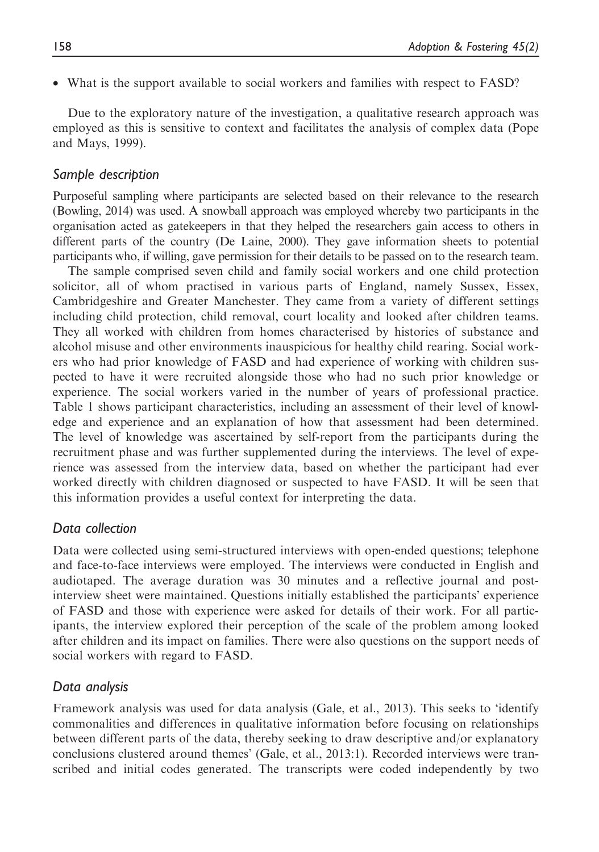• What is the support available to social workers and families with respect to FASD?

Due to the exploratory nature of the investigation, a qualitative research approach was employed as this is sensitive to context and facilitates the analysis of complex data (Pope and Mays, 1999).

## Sample description

Purposeful sampling where participants are selected based on their relevance to the research (Bowling, 2014) was used. A snowball approach was employed whereby two participants in the organisation acted as gatekeepers in that they helped the researchers gain access to others in different parts of the country (De Laine, 2000). They gave information sheets to potential participants who, if willing, gave permission for their details to be passed on to the research team.

The sample comprised seven child and family social workers and one child protection solicitor, all of whom practised in various parts of England, namely Sussex, Essex, Cambridgeshire and Greater Manchester. They came from a variety of different settings including child protection, child removal, court locality and looked after children teams. They all worked with children from homes characterised by histories of substance and alcohol misuse and other environments inauspicious for healthy child rearing. Social workers who had prior knowledge of FASD and had experience of working with children suspected to have it were recruited alongside those who had no such prior knowledge or experience. The social workers varied in the number of years of professional practice. Table 1 shows participant characteristics, including an assessment of their level of knowledge and experience and an explanation of how that assessment had been determined. The level of knowledge was ascertained by self-report from the participants during the recruitment phase and was further supplemented during the interviews. The level of experience was assessed from the interview data, based on whether the participant had ever worked directly with children diagnosed or suspected to have FASD. It will be seen that this information provides a useful context for interpreting the data.

## Data collection

Data were collected using semi-structured interviews with open-ended questions; telephone and face-to-face interviews were employed. The interviews were conducted in English and audiotaped. The average duration was 30 minutes and a reflective journal and postinterview sheet were maintained. Questions initially established the participants' experience of FASD and those with experience were asked for details of their work. For all participants, the interview explored their perception of the scale of the problem among looked after children and its impact on families. There were also questions on the support needs of social workers with regard to FASD.

## Data analysis

Framework analysis was used for data analysis (Gale, et al., 2013). This seeks to 'identify commonalities and differences in qualitative information before focusing on relationships between different parts of the data, thereby seeking to draw descriptive and/or explanatory conclusions clustered around themes' (Gale, et al., 2013:1). Recorded interviews were transcribed and initial codes generated. The transcripts were coded independently by two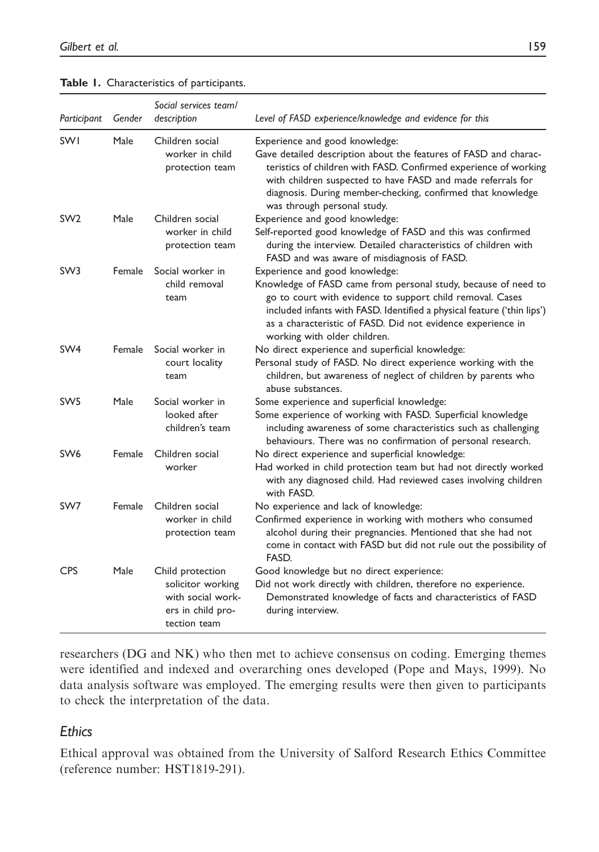Table 1. Characteristics of participants.

| Participant     | Gender        | Social services team/<br>description                                                            | Level of FASD experience/knowledge and evidence for this                                                                                                                                                                                                                                                                                |
|-----------------|---------------|-------------------------------------------------------------------------------------------------|-----------------------------------------------------------------------------------------------------------------------------------------------------------------------------------------------------------------------------------------------------------------------------------------------------------------------------------------|
| <b>SWI</b>      | Male          | Children social<br>worker in child<br>protection team                                           | Experience and good knowledge:<br>Gave detailed description about the features of FASD and charac-<br>teristics of children with FASD. Confirmed experience of working<br>with children suspected to have FASD and made referrals for<br>diagnosis. During member-checking, confirmed that knowledge<br>was through personal study.     |
| SW <sub>2</sub> | Male          | Children social<br>worker in child<br>protection team                                           | Experience and good knowledge:<br>Self-reported good knowledge of FASD and this was confirmed<br>during the interview. Detailed characteristics of children with<br>FASD and was aware of misdiagnosis of FASD.                                                                                                                         |
| SW <sub>3</sub> | Female        | Social worker in<br>child removal<br>team                                                       | Experience and good knowledge:<br>Knowledge of FASD came from personal study, because of need to<br>go to court with evidence to support child removal. Cases<br>included infants with FASD. Identified a physical feature ('thin lips')<br>as a characteristic of FASD. Did not evidence experience in<br>working with older children. |
| SW <sub>4</sub> | Female        | Social worker in<br>court locality<br>team                                                      | No direct experience and superficial knowledge:<br>Personal study of FASD. No direct experience working with the<br>children, but awareness of neglect of children by parents who<br>abuse substances.                                                                                                                                  |
| SW <sub>5</sub> | Male          | Social worker in<br>looked after<br>children's team                                             | Some experience and superficial knowledge:<br>Some experience of working with FASD. Superficial knowledge<br>including awareness of some characteristics such as challenging<br>behaviours. There was no confirmation of personal research.                                                                                             |
| SW <sub>6</sub> | <b>Female</b> | Children social<br>worker                                                                       | No direct experience and superficial knowledge:<br>Had worked in child protection team but had not directly worked<br>with any diagnosed child. Had reviewed cases involving children<br>with FASD.                                                                                                                                     |
| SW7             | Female        | Children social<br>worker in child<br>protection team                                           | No experience and lack of knowledge:<br>Confirmed experience in working with mothers who consumed<br>alcohol during their pregnancies. Mentioned that she had not<br>come in contact with FASD but did not rule out the possibility of<br>FASD.                                                                                         |
| <b>CPS</b>      | Male          | Child protection<br>solicitor working<br>with social work-<br>ers in child pro-<br>tection team | Good knowledge but no direct experience:<br>Did not work directly with children, therefore no experience.<br>Demonstrated knowledge of facts and characteristics of FASD<br>during interview.                                                                                                                                           |

researchers (DG and NK) who then met to achieve consensus on coding. Emerging themes were identified and indexed and overarching ones developed (Pope and Mays, 1999). No data analysis software was employed. The emerging results were then given to participants to check the interpretation of the data.

# **Ethics**

Ethical approval was obtained from the University of Salford Research Ethics Committee (reference number: HST1819-291).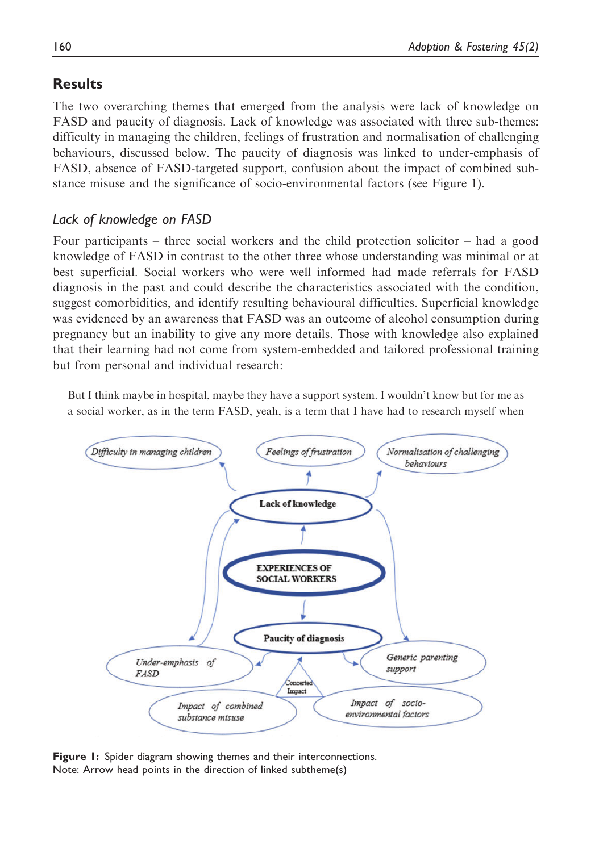# **Results**

The two overarching themes that emerged from the analysis were lack of knowledge on FASD and paucity of diagnosis. Lack of knowledge was associated with three sub-themes: difficulty in managing the children, feelings of frustration and normalisation of challenging behaviours, discussed below. The paucity of diagnosis was linked to under-emphasis of FASD, absence of FASD-targeted support, confusion about the impact of combined substance misuse and the significance of socio-environmental factors (see Figure 1).

# Lack of knowledge on FASD

Four participants – three social workers and the child protection solicitor – had a good knowledge of FASD in contrast to the other three whose understanding was minimal or at best superficial. Social workers who were well informed had made referrals for FASD diagnosis in the past and could describe the characteristics associated with the condition, suggest comorbidities, and identify resulting behavioural difficulties. Superficial knowledge was evidenced by an awareness that FASD was an outcome of alcohol consumption during pregnancy but an inability to give any more details. Those with knowledge also explained that their learning had not come from system-embedded and tailored professional training but from personal and individual research:

But I think maybe in hospital, maybe they have a support system. I wouldn't know but for me as a social worker, as in the term FASD, yeah, is a term that I have had to research myself when



Figure 1: Spider diagram showing themes and their interconnections. Note: Arrow head points in the direction of linked subtheme(s)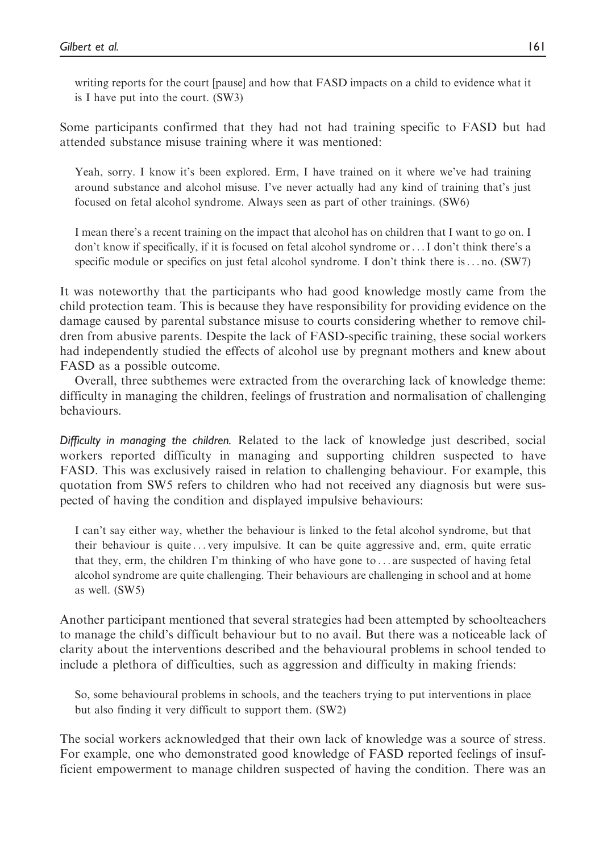writing reports for the court [pause] and how that FASD impacts on a child to evidence what it is I have put into the court. (SW3)

Some participants confirmed that they had not had training specific to FASD but had attended substance misuse training where it was mentioned:

Yeah, sorry. I know it's been explored. Erm, I have trained on it where we've had training around substance and alcohol misuse. I've never actually had any kind of training that's just focused on fetal alcohol syndrome. Always seen as part of other trainings. (SW6)

I mean there's a recent training on the impact that alcohol has on children that I want to go on. I don't know if specifically, if it is focused on fetal alcohol syndrome or...I don't think there's a specific module or specifics on just fetal alcohol syndrome. I don't think there is... no. (SW7)

It was noteworthy that the participants who had good knowledge mostly came from the child protection team. This is because they have responsibility for providing evidence on the damage caused by parental substance misuse to courts considering whether to remove children from abusive parents. Despite the lack of FASD-specific training, these social workers had independently studied the effects of alcohol use by pregnant mothers and knew about FASD as a possible outcome.

Overall, three subthemes were extracted from the overarching lack of knowledge theme: difficulty in managing the children, feelings of frustration and normalisation of challenging behaviours.

Difficulty in managing the children. Related to the lack of knowledge just described, social workers reported difficulty in managing and supporting children suspected to have FASD. This was exclusively raised in relation to challenging behaviour. For example, this quotation from SW5 refers to children who had not received any diagnosis but were suspected of having the condition and displayed impulsive behaviours:

I can't say either way, whether the behaviour is linked to the fetal alcohol syndrome, but that their behaviour is quite ... very impulsive. It can be quite aggressive and, erm, quite erratic that they, erm, the children I'm thinking of who have gone to ... are suspected of having fetal alcohol syndrome are quite challenging. Their behaviours are challenging in school and at home as well. (SW5)

Another participant mentioned that several strategies had been attempted by schoolteachers to manage the child's difficult behaviour but to no avail. But there was a noticeable lack of clarity about the interventions described and the behavioural problems in school tended to include a plethora of difficulties, such as aggression and difficulty in making friends:

So, some behavioural problems in schools, and the teachers trying to put interventions in place but also finding it very difficult to support them. (SW2)

The social workers acknowledged that their own lack of knowledge was a source of stress. For example, one who demonstrated good knowledge of FASD reported feelings of insufficient empowerment to manage children suspected of having the condition. There was an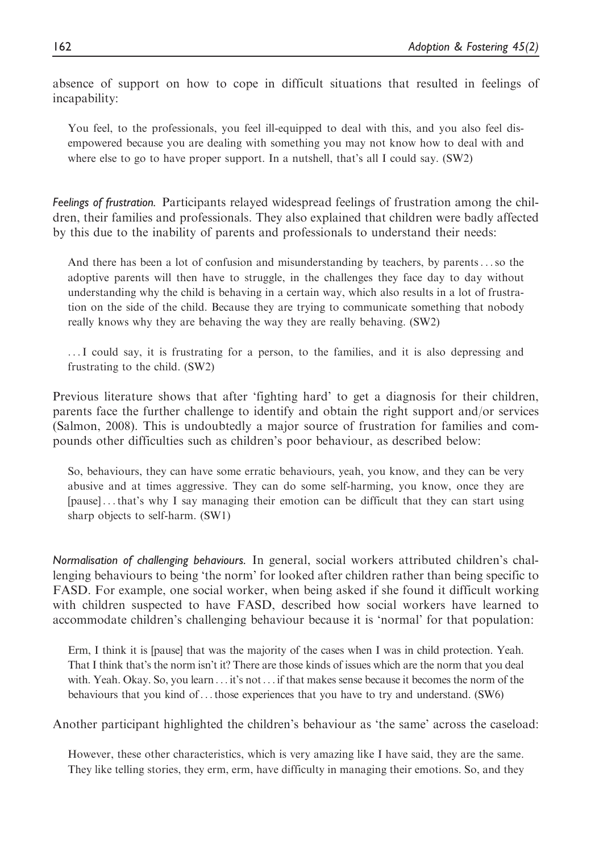absence of support on how to cope in difficult situations that resulted in feelings of incapability:

You feel, to the professionals, you feel ill-equipped to deal with this, and you also feel disempowered because you are dealing with something you may not know how to deal with and where else to go to have proper support. In a nutshell, that's all I could say. (SW2)

Feelings of frustration. Participants relayed widespread feelings of frustration among the children, their families and professionals. They also explained that children were badly affected by this due to the inability of parents and professionals to understand their needs:

And there has been a lot of confusion and misunderstanding by teachers, by parents...so the adoptive parents will then have to struggle, in the challenges they face day to day without understanding why the child is behaving in a certain way, which also results in a lot of frustration on the side of the child. Because they are trying to communicate something that nobody really knows why they are behaving the way they are really behaving. (SW2)

...I could say, it is frustrating for a person, to the families, and it is also depressing and frustrating to the child. (SW2)

Previous literature shows that after 'fighting hard' to get a diagnosis for their children, parents face the further challenge to identify and obtain the right support and/or services (Salmon, 2008). This is undoubtedly a major source of frustration for families and compounds other difficulties such as children's poor behaviour, as described below:

So, behaviours, they can have some erratic behaviours, yeah, you know, and they can be very abusive and at times aggressive. They can do some self-harming, you know, once they are [pause] ...that's why I say managing their emotion can be difficult that they can start using sharp objects to self-harm. (SW1)

Normalisation of challenging behaviours. In general, social workers attributed children's challenging behaviours to being 'the norm' for looked after children rather than being specific to FASD. For example, one social worker, when being asked if she found it difficult working with children suspected to have FASD, described how social workers have learned to accommodate children's challenging behaviour because it is 'normal' for that population:

Erm, I think it is [pause] that was the majority of the cases when I was in child protection. Yeah. That I think that's the norm isn't it? There are those kinds of issues which are the norm that you deal with. Yeah. Okay. So, you learn ... it's not... if that makes sense because it becomes the norm of the behaviours that you kind of...those experiences that you have to try and understand. (SW6)

Another participant highlighted the children's behaviour as 'the same' across the caseload:

However, these other characteristics, which is very amazing like I have said, they are the same. They like telling stories, they erm, erm, have difficulty in managing their emotions. So, and they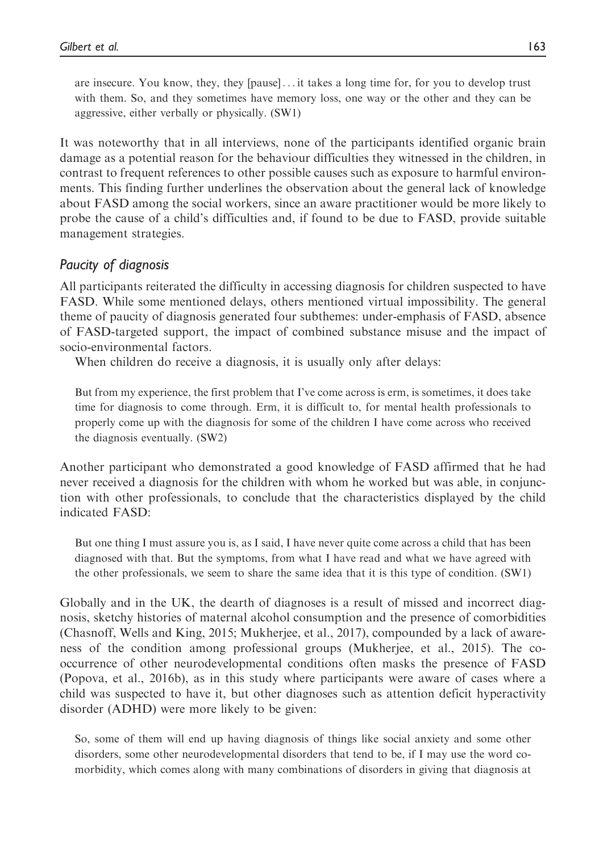are insecure. You know, they, they [pause] ... it takes a long time for, for you to develop trust with them. So, and they sometimes have memory loss, one way or the other and they can be aggressive, either verbally or physically. (SW1)

It was noteworthy that in all interviews, none of the participants identified organic brain damage as a potential reason for the behaviour difficulties they witnessed in the children, in contrast to frequent references to other possible causes such as exposure to harmful environments. This finding further underlines the observation about the general lack of knowledge about FASD among the social workers, since an aware practitioner would be more likely to probe the cause of a child's difficulties and, if found to be due to FASD, provide suitable management strategies.

## Paucity of diagnosis

All participants reiterated the difficulty in accessing diagnosis for children suspected to have FASD. While some mentioned delays, others mentioned virtual impossibility. The general theme of paucity of diagnosis generated four subthemes: under-emphasis of FASD, absence of FASD-targeted support, the impact of combined substance misuse and the impact of socio-environmental factors.

When children do receive a diagnosis, it is usually only after delays:

But from my experience, the first problem that I've come across is erm, is sometimes, it does take time for diagnosis to come through. Erm, it is difficult to, for mental health professionals to properly come up with the diagnosis for some of the children I have come across who received the diagnosis eventually. (SW2)

Another participant who demonstrated a good knowledge of FASD affirmed that he had never received a diagnosis for the children with whom he worked but was able, in conjunction with other professionals, to conclude that the characteristics displayed by the child indicated FASD:

But one thing I must assure you is, as I said, I have never quite come across a child that has been diagnosed with that. But the symptoms, from what I have read and what we have agreed with the other professionals, we seem to share the same idea that it is this type of condition. (SW1)

Globally and in the UK, the dearth of diagnoses is a result of missed and incorrect diagnosis, sketchy histories of maternal alcohol consumption and the presence of comorbidities (Chasnoff, Wells and King, 2015; Mukherjee, et al., 2017), compounded by a lack of awareness of the condition among professional groups (Mukherjee, et al., 2015). The cooccurrence of other neurodevelopmental conditions often masks the presence of FASD (Popova, et al., 2016b), as in this study where participants were aware of cases where a child was suspected to have it, but other diagnoses such as attention deficit hyperactivity disorder (ADHD) were more likely to be given:

So, some of them will end up having diagnosis of things like social anxiety and some other disorders, some other neurodevelopmental disorders that tend to be, if I may use the word comorbidity, which comes along with many combinations of disorders in giving that diagnosis at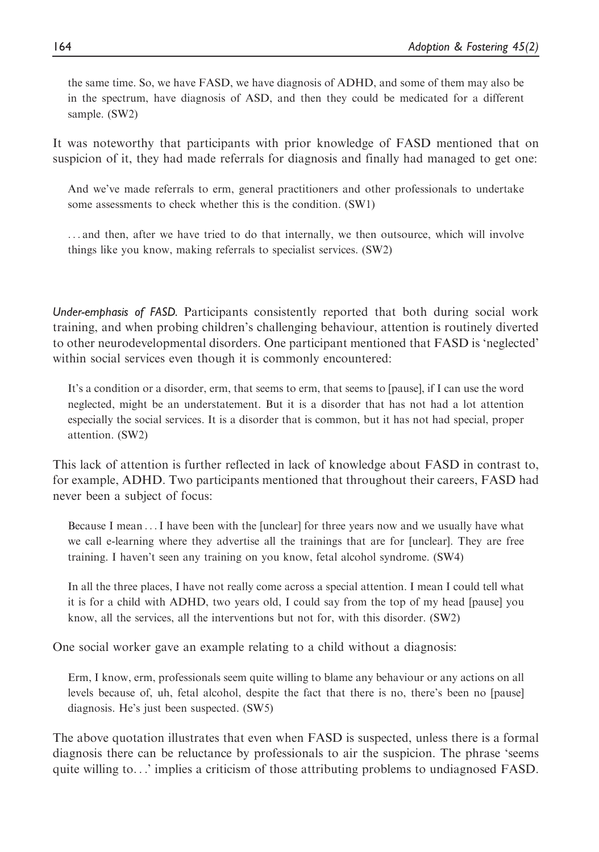the same time. So, we have FASD, we have diagnosis of ADHD, and some of them may also be in the spectrum, have diagnosis of ASD, and then they could be medicated for a different sample. (SW2)

It was noteworthy that participants with prior knowledge of FASD mentioned that on suspicion of it, they had made referrals for diagnosis and finally had managed to get one:

And we've made referrals to erm, general practitioners and other professionals to undertake some assessments to check whether this is the condition. (SW1)

... and then, after we have tried to do that internally, we then outsource, which will involve things like you know, making referrals to specialist services. (SW2)

Under-emphasis of FASD. Participants consistently reported that both during social work training, and when probing children's challenging behaviour, attention is routinely diverted to other neurodevelopmental disorders. One participant mentioned that FASD is 'neglected' within social services even though it is commonly encountered:

It's a condition or a disorder, erm, that seems to erm, that seems to [pause], if I can use the word neglected, might be an understatement. But it is a disorder that has not had a lot attention especially the social services. It is a disorder that is common, but it has not had special, proper attention. (SW2)

This lack of attention is further reflected in lack of knowledge about FASD in contrast to, for example, ADHD. Two participants mentioned that throughout their careers, FASD had never been a subject of focus:

Because I mean ...I have been with the [unclear] for three years now and we usually have what we call e-learning where they advertise all the trainings that are for [unclear]. They are free training. I haven't seen any training on you know, fetal alcohol syndrome. (SW4)

In all the three places, I have not really come across a special attention. I mean I could tell what it is for a child with ADHD, two years old, I could say from the top of my head [pause] you know, all the services, all the interventions but not for, with this disorder. (SW2)

One social worker gave an example relating to a child without a diagnosis:

Erm, I know, erm, professionals seem quite willing to blame any behaviour or any actions on all levels because of, uh, fetal alcohol, despite the fact that there is no, there's been no [pause] diagnosis. He's just been suspected. (SW5)

The above quotation illustrates that even when FASD is suspected, unless there is a formal diagnosis there can be reluctance by professionals to air the suspicion. The phrase 'seems quite willing to...' implies a criticism of those attributing problems to undiagnosed FASD.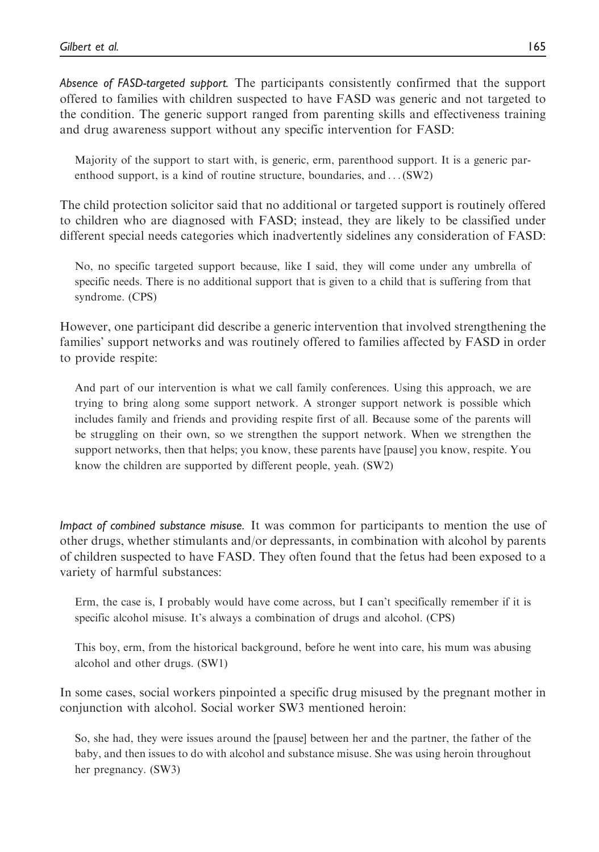Absence of FASD-targeted support. The participants consistently confirmed that the support offered to families with children suspected to have FASD was generic and not targeted to the condition. The generic support ranged from parenting skills and effectiveness training and drug awareness support without any specific intervention for FASD:

Majority of the support to start with, is generic, erm, parenthood support. It is a generic parenthood support, is a kind of routine structure, boundaries, and ...(SW2)

The child protection solicitor said that no additional or targeted support is routinely offered to children who are diagnosed with FASD; instead, they are likely to be classified under different special needs categories which inadvertently sidelines any consideration of FASD:

No, no specific targeted support because, like I said, they will come under any umbrella of specific needs. There is no additional support that is given to a child that is suffering from that syndrome. (CPS)

However, one participant did describe a generic intervention that involved strengthening the families' support networks and was routinely offered to families affected by FASD in order to provide respite:

And part of our intervention is what we call family conferences. Using this approach, we are trying to bring along some support network. A stronger support network is possible which includes family and friends and providing respite first of all. Because some of the parents will be struggling on their own, so we strengthen the support network. When we strengthen the support networks, then that helps; you know, these parents have [pause] you know, respite. You know the children are supported by different people, yeah. (SW2)

Impact of combined substance misuse. It was common for participants to mention the use of other drugs, whether stimulants and/or depressants, in combination with alcohol by parents of children suspected to have FASD. They often found that the fetus had been exposed to a variety of harmful substances:

Erm, the case is, I probably would have come across, but I can't specifically remember if it is specific alcohol misuse. It's always a combination of drugs and alcohol. (CPS)

This boy, erm, from the historical background, before he went into care, his mum was abusing alcohol and other drugs. (SW1)

In some cases, social workers pinpointed a specific drug misused by the pregnant mother in conjunction with alcohol. Social worker SW3 mentioned heroin:

So, she had, they were issues around the [pause] between her and the partner, the father of the baby, and then issues to do with alcohol and substance misuse. She was using heroin throughout her pregnancy. (SW3)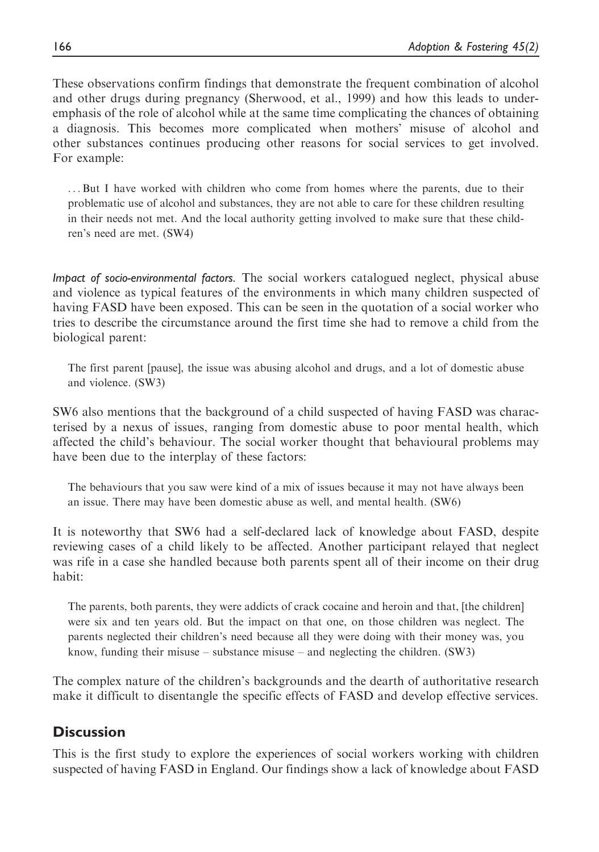These observations confirm findings that demonstrate the frequent combination of alcohol and other drugs during pregnancy (Sherwood, et al., 1999) and how this leads to underemphasis of the role of alcohol while at the same time complicating the chances of obtaining a diagnosis. This becomes more complicated when mothers' misuse of alcohol and other substances continues producing other reasons for social services to get involved. For example:

...But I have worked with children who come from homes where the parents, due to their problematic use of alcohol and substances, they are not able to care for these children resulting in their needs not met. And the local authority getting involved to make sure that these children's need are met. (SW4)

Impact of socio-environmental factors. The social workers catalogued neglect, physical abuse and violence as typical features of the environments in which many children suspected of having FASD have been exposed. This can be seen in the quotation of a social worker who tries to describe the circumstance around the first time she had to remove a child from the biological parent:

The first parent [pause], the issue was abusing alcohol and drugs, and a lot of domestic abuse and violence. (SW3)

SW6 also mentions that the background of a child suspected of having FASD was characterised by a nexus of issues, ranging from domestic abuse to poor mental health, which affected the child's behaviour. The social worker thought that behavioural problems may have been due to the interplay of these factors:

The behaviours that you saw were kind of a mix of issues because it may not have always been an issue. There may have been domestic abuse as well, and mental health. (SW6)

It is noteworthy that SW6 had a self-declared lack of knowledge about FASD, despite reviewing cases of a child likely to be affected. Another participant relayed that neglect was rife in a case she handled because both parents spent all of their income on their drug habit:

The parents, both parents, they were addicts of crack cocaine and heroin and that, [the children] were six and ten years old. But the impact on that one, on those children was neglect. The parents neglected their children's need because all they were doing with their money was, you know, funding their misuse – substance misuse – and neglecting the children. (SW3)

The complex nature of the children's backgrounds and the dearth of authoritative research make it difficult to disentangle the specific effects of FASD and develop effective services.

# **Discussion**

This is the first study to explore the experiences of social workers working with children suspected of having FASD in England. Our findings show a lack of knowledge about FASD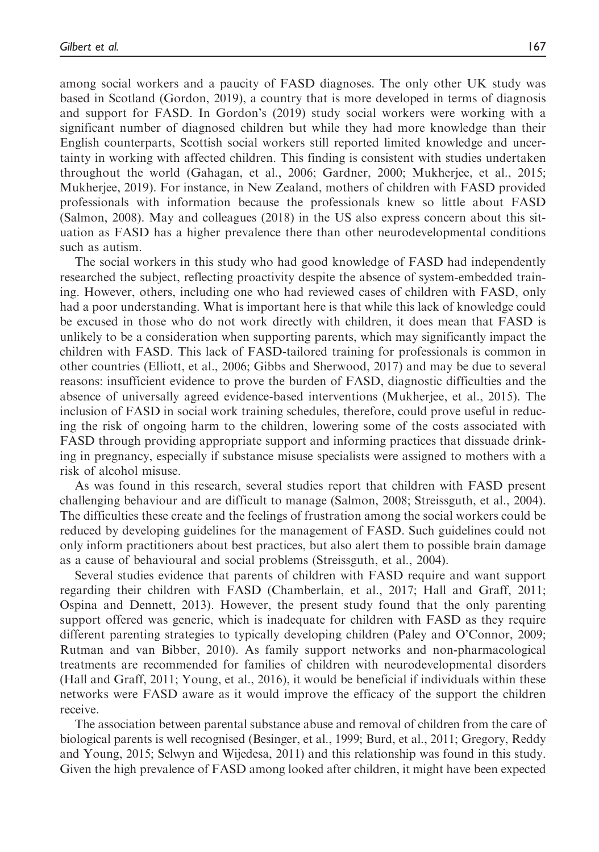among social workers and a paucity of FASD diagnoses. The only other UK study was based in Scotland (Gordon, 2019), a country that is more developed in terms of diagnosis and support for FASD. In Gordon's (2019) study social workers were working with a significant number of diagnosed children but while they had more knowledge than their English counterparts, Scottish social workers still reported limited knowledge and uncertainty in working with affected children. This finding is consistent with studies undertaken throughout the world (Gahagan, et al., 2006; Gardner, 2000; Mukherjee, et al., 2015; Mukherjee, 2019). For instance, in New Zealand, mothers of children with FASD provided professionals with information because the professionals knew so little about FASD (Salmon, 2008). May and colleagues (2018) in the US also express concern about this situation as FASD has a higher prevalence there than other neurodevelopmental conditions such as autism.

The social workers in this study who had good knowledge of FASD had independently researched the subject, reflecting proactivity despite the absence of system-embedded training. However, others, including one who had reviewed cases of children with FASD, only had a poor understanding. What is important here is that while this lack of knowledge could be excused in those who do not work directly with children, it does mean that FASD is unlikely to be a consideration when supporting parents, which may significantly impact the children with FASD. This lack of FASD-tailored training for professionals is common in other countries (Elliott, et al., 2006; Gibbs and Sherwood, 2017) and may be due to several reasons: insufficient evidence to prove the burden of FASD, diagnostic difficulties and the absence of universally agreed evidence-based interventions (Mukherjee, et al., 2015). The inclusion of FASD in social work training schedules, therefore, could prove useful in reducing the risk of ongoing harm to the children, lowering some of the costs associated with FASD through providing appropriate support and informing practices that dissuade drinking in pregnancy, especially if substance misuse specialists were assigned to mothers with a risk of alcohol misuse.

As was found in this research, several studies report that children with FASD present challenging behaviour and are difficult to manage (Salmon, 2008; Streissguth, et al., 2004). The difficulties these create and the feelings of frustration among the social workers could be reduced by developing guidelines for the management of FASD. Such guidelines could not only inform practitioners about best practices, but also alert them to possible brain damage as a cause of behavioural and social problems (Streissguth, et al., 2004).

Several studies evidence that parents of children with FASD require and want support regarding their children with FASD (Chamberlain, et al., 2017; Hall and Graff, 2011; Ospina and Dennett, 2013). However, the present study found that the only parenting support offered was generic, which is inadequate for children with FASD as they require different parenting strategies to typically developing children (Paley and O'Connor, 2009; Rutman and van Bibber, 2010). As family support networks and non-pharmacological treatments are recommended for families of children with neurodevelopmental disorders (Hall and Graff, 2011; Young, et al., 2016), it would be beneficial if individuals within these networks were FASD aware as it would improve the efficacy of the support the children receive.

The association between parental substance abuse and removal of children from the care of biological parents is well recognised (Besinger, et al., 1999; Burd, et al., 2011; Gregory, Reddy and Young, 2015; Selwyn and Wijedesa, 2011) and this relationship was found in this study. Given the high prevalence of FASD among looked after children, it might have been expected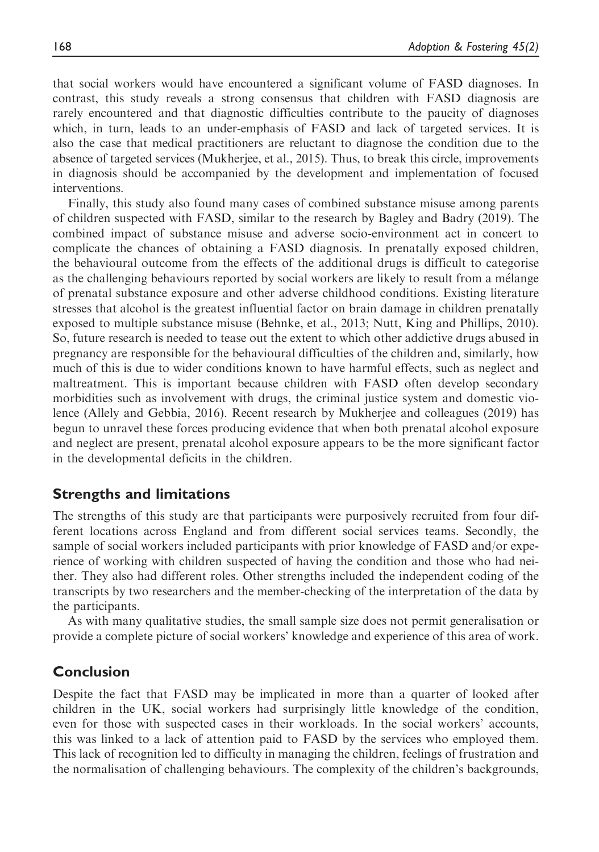that social workers would have encountered a significant volume of FASD diagnoses. In contrast, this study reveals a strong consensus that children with FASD diagnosis are rarely encountered and that diagnostic difficulties contribute to the paucity of diagnoses which, in turn, leads to an under-emphasis of FASD and lack of targeted services. It is also the case that medical practitioners are reluctant to diagnose the condition due to the absence of targeted services (Mukherjee, et al., 2015). Thus, to break this circle, improvements in diagnosis should be accompanied by the development and implementation of focused interventions.

Finally, this study also found many cases of combined substance misuse among parents of children suspected with FASD, similar to the research by Bagley and Badry (2019). The combined impact of substance misuse and adverse socio-environment act in concert to complicate the chances of obtaining a FASD diagnosis. In prenatally exposed children, the behavioural outcome from the effects of the additional drugs is difficult to categorise as the challenging behaviours reported by social workers are likely to result from a mélange of prenatal substance exposure and other adverse childhood conditions. Existing literature stresses that alcohol is the greatest influential factor on brain damage in children prenatally exposed to multiple substance misuse (Behnke, et al., 2013; Nutt, King and Phillips, 2010). So, future research is needed to tease out the extent to which other addictive drugs abused in pregnancy are responsible for the behavioural difficulties of the children and, similarly, how much of this is due to wider conditions known to have harmful effects, such as neglect and maltreatment. This is important because children with FASD often develop secondary morbidities such as involvement with drugs, the criminal justice system and domestic violence (Allely and Gebbia, 2016). Recent research by Mukherjee and colleagues (2019) has begun to unravel these forces producing evidence that when both prenatal alcohol exposure and neglect are present, prenatal alcohol exposure appears to be the more significant factor in the developmental deficits in the children.

## Strengths and limitations

The strengths of this study are that participants were purposively recruited from four different locations across England and from different social services teams. Secondly, the sample of social workers included participants with prior knowledge of FASD and/or experience of working with children suspected of having the condition and those who had neither. They also had different roles. Other strengths included the independent coding of the transcripts by two researchers and the member-checking of the interpretation of the data by the participants.

As with many qualitative studies, the small sample size does not permit generalisation or provide a complete picture of social workers' knowledge and experience of this area of work.

# Conclusion

Despite the fact that FASD may be implicated in more than a quarter of looked after children in the UK, social workers had surprisingly little knowledge of the condition, even for those with suspected cases in their workloads. In the social workers' accounts, this was linked to a lack of attention paid to FASD by the services who employed them. This lack of recognition led to difficulty in managing the children, feelings of frustration and the normalisation of challenging behaviours. The complexity of the children's backgrounds,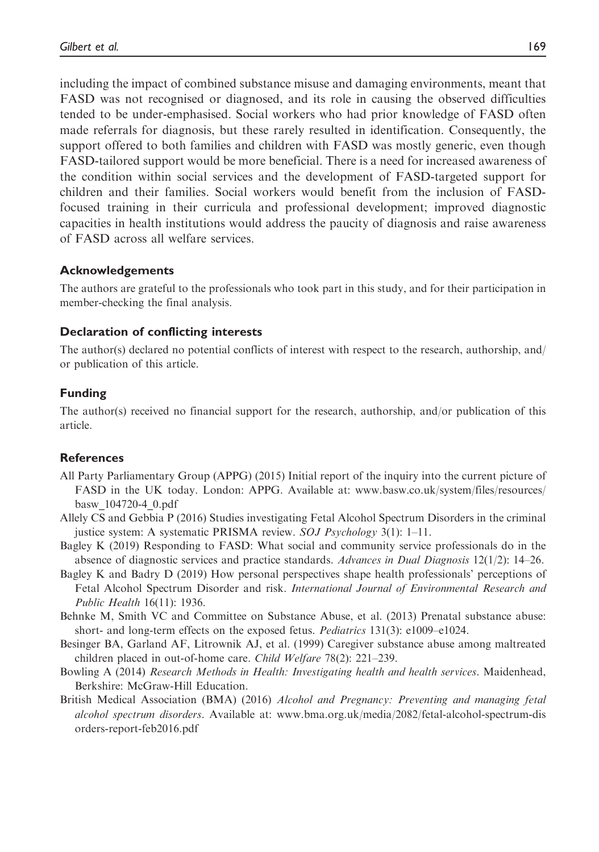including the impact of combined substance misuse and damaging environments, meant that FASD was not recognised or diagnosed, and its role in causing the observed difficulties tended to be under-emphasised. Social workers who had prior knowledge of FASD often made referrals for diagnosis, but these rarely resulted in identification. Consequently, the support offered to both families and children with FASD was mostly generic, even though FASD-tailored support would be more beneficial. There is a need for increased awareness of the condition within social services and the development of FASD-targeted support for children and their families. Social workers would benefit from the inclusion of FASDfocused training in their curricula and professional development; improved diagnostic capacities in health institutions would address the paucity of diagnosis and raise awareness of FASD across all welfare services.

### Acknowledgements

The authors are grateful to the professionals who took part in this study, and for their participation in member-checking the final analysis.

#### Declaration of conflicting interests

The author(s) declared no potential conflicts of interest with respect to the research, authorship, and/ or publication of this article.

### Funding

The author(s) received no financial support for the research, authorship, and/or publication of this article.

#### References

- All Party Parliamentary Group (APPG) (2015) Initial report of the inquiry into the current picture of FASD in the UK today. London: APPG. Available at: [www.basw.co.uk/system/files/resources/](http://www.basw.co.uk/system/files/resources/basw_104720-4_0.pdf) [basw\\_104720-4\\_0.pdf](http://www.basw.co.uk/system/files/resources/basw_104720-4_0.pdf)
- Allely CS and Gebbia P (2016) Studies investigating Fetal Alcohol Spectrum Disorders in the criminal justice system: A systematic PRISMA review. SOJ Psychology 3(1): 1–11.
- Bagley K (2019) Responding to FASD: What social and community service professionals do in the absence of diagnostic services and practice standards. Advances in Dual Diagnosis 12(1/2): 14–26.
- Bagley K and Badry D (2019) How personal perspectives shape health professionals' perceptions of Fetal Alcohol Spectrum Disorder and risk. International Journal of Environmental Research and Public Health 16(11): 1936.
- Behnke M, Smith VC and Committee on Substance Abuse, et al. (2013) Prenatal substance abuse: short- and long-term effects on the exposed fetus. Pediatrics 131(3): e1009–e1024.
- Besinger BA, Garland AF, Litrownik AJ, et al. (1999) Caregiver substance abuse among maltreated children placed in out-of-home care. Child Welfare 78(2): 221–239.
- Bowling A (2014) Research Methods in Health: Investigating health and health services. Maidenhead, Berkshire: McGraw-Hill Education.
- British Medical Association (BMA) (2016) *Alcohol and Pregnancy: Preventing and managing fetal* alcohol spectrum disorders. Available at: [www.bma.org.uk/media/2082/fetal-alcohol-spectrum-dis](http://www.bma.org.uk/media/2082/fetal-alcohol-spectrum-disorders-report-feb2016.pdf) [orders-report-feb2016.pdf](http://www.bma.org.uk/media/2082/fetal-alcohol-spectrum-disorders-report-feb2016.pdf)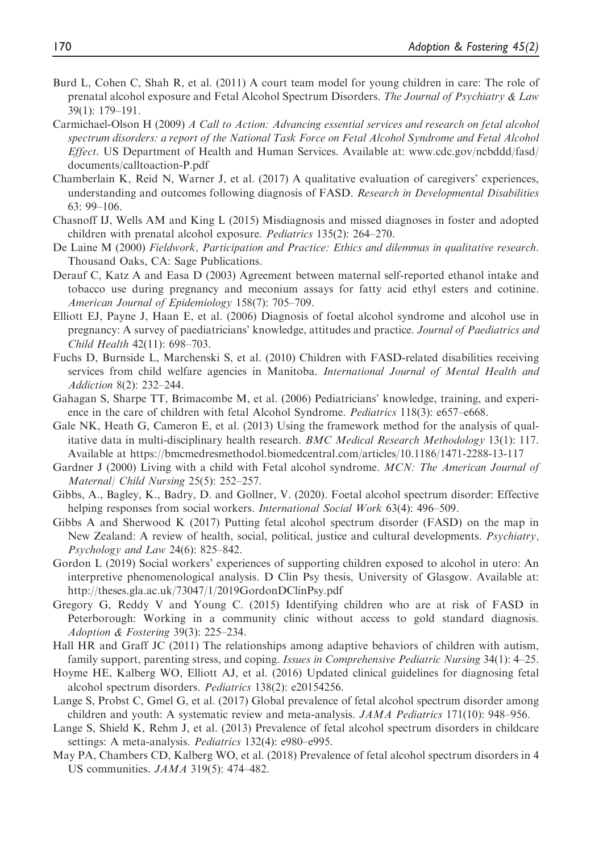- Burd L, Cohen C, Shah R, et al. (2011) A court team model for young children in care: The role of prenatal alcohol exposure and Fetal Alcohol Spectrum Disorders. The Journal of Psychiatry & Law 39(1): 179–191.
- Carmichael-Olson H (2009) A Call to Action: Advancing essential services and research on fetal alcohol spectrum disorders: a report of the National Task Force on Fetal Alcohol Syndrome and Fetal Alcohol Effect. US Department of Health and Human Services. Available at: [www.cdc.gov/ncbddd/fasd/](http://www.cdc.gov/ncbddd/fasd/documents/calltoaction-P.pdf) [documents/calltoaction-P.pdf](http://www.cdc.gov/ncbddd/fasd/documents/calltoaction-P.pdf)
- Chamberlain K, Reid N, Warner J, et al. (2017) A qualitative evaluation of caregivers' experiences, understanding and outcomes following diagnosis of FASD. Research in Developmental Disabilities 63: 99–106.
- Chasnoff IJ, Wells AM and King L (2015) Misdiagnosis and missed diagnoses in foster and adopted children with prenatal alcohol exposure. Pediatrics 135(2): 264–270.
- De Laine M (2000) Fieldwork, Participation and Practice: Ethics and dilemmas in qualitative research. Thousand Oaks, CA: Sage Publications.
- Derauf C, Katz A and Easa D (2003) Agreement between maternal self-reported ethanol intake and tobacco use during pregnancy and meconium assays for fatty acid ethyl esters and cotinine. American Journal of Epidemiology 158(7): 705–709.
- Elliott EJ, Payne J, Haan E, et al. (2006) Diagnosis of foetal alcohol syndrome and alcohol use in pregnancy: A survey of paediatricians' knowledge, attitudes and practice. Journal of Paediatrics and Child Health 42(11): 698–703.
- Fuchs D, Burnside L, Marchenski S, et al. (2010) Children with FASD-related disabilities receiving services from child welfare agencies in Manitoba. International Journal of Mental Health and Addiction 8(2): 232–244.
- Gahagan S, Sharpe TT, Brimacombe M, et al. (2006) Pediatricians' knowledge, training, and experience in the care of children with fetal Alcohol Syndrome. *Pediatrics* 118(3): e657–e668.
- Gale NK, Heath G, Cameron E, et al. (2013) Using the framework method for the analysis of qualitative data in multi-disciplinary health research. BMC Medical Research Methodology 13(1): 117. Available at<https://bmcmedresmethodol.biomedcentral.com/articles/10.1186/1471-2288-13-117>
- Gardner J (2000) Living with a child with Fetal alcohol syndrome. MCN: The American Journal of Maternal/ Child Nursing 25(5): 252–257.
- Gibbs, A., Bagley, K., Badry, D. and Gollner, V. (2020). Foetal alcohol spectrum disorder: Effective helping responses from social workers. *International Social Work* 63(4): 496–509.
- Gibbs A and Sherwood K (2017) Putting fetal alcohol spectrum disorder (FASD) on the map in New Zealand: A review of health, social, political, justice and cultural developments. Psychiatry, Psychology and Law 24(6): 825–842.
- Gordon L (2019) Social workers' experiences of supporting children exposed to alcohol in utero: An interpretive phenomenological analysis. D Clin Psy thesis, University of Glasgow. Available at: <http://theses.gla.ac.uk/73047/1/2019GordonDClinPsy.pdf>
- Gregory G, Reddy V and Young C. (2015) Identifying children who are at risk of FASD in Peterborough: Working in a community clinic without access to gold standard diagnosis. Adoption & Fostering 39(3): 225–234.
- Hall HR and Graff JC (2011) The relationships among adaptive behaviors of children with autism, family support, parenting stress, and coping. Issues in Comprehensive Pediatric Nursing 34(1): 4–25.
- Hoyme HE, Kalberg WO, Elliott AJ, et al. (2016) Updated clinical guidelines for diagnosing fetal alcohol spectrum disorders. Pediatrics 138(2): e20154256.
- Lange S, Probst C, Gmel G, et al. (2017) Global prevalence of fetal alcohol spectrum disorder among children and youth: A systematic review and meta-analysis. *JAMA Pediatrics* 171(10): 948–956.
- Lange S, Shield K, Rehm J, et al. (2013) Prevalence of fetal alcohol spectrum disorders in childcare settings: A meta-analysis. *Pediatrics* 132(4): e980–e995.
- May PA, Chambers CD, Kalberg WO, et al. (2018) Prevalence of fetal alcohol spectrum disorders in 4 US communities. JAMA 319(5): 474–482.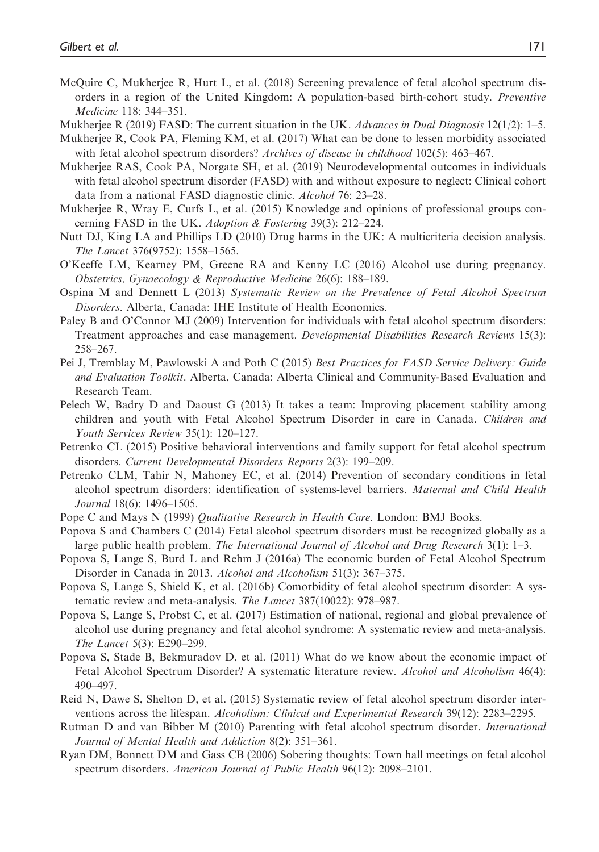- McQuire C, Mukherjee R, Hurt L, et al. (2018) Screening prevalence of fetal alcohol spectrum disorders in a region of the United Kingdom: A population-based birth-cohort study. Preventive Medicine 118: 344–351.
- Mukherjee R (2019) FASD: The current situation in the UK. Advances in Dual Diagnosis  $12(1/2)$ : 1–5.
- Mukherjee R, Cook PA, Fleming KM, et al. (2017) What can be done to lessen morbidity associated with fetal alcohol spectrum disorders? *Archives of disease in childhood* 102(5): 463–467.
- Mukherjee RAS, Cook PA, Norgate SH, et al. (2019) Neurodevelopmental outcomes in individuals with fetal alcohol spectrum disorder (FASD) with and without exposure to neglect: Clinical cohort data from a national FASD diagnostic clinic. Alcohol 76: 23–28.
- Mukherjee R, Wray E, Curfs L, et al. (2015) Knowledge and opinions of professional groups concerning FASD in the UK. Adoption & Fostering 39(3): 212–224.
- Nutt DJ, King LA and Phillips LD (2010) Drug harms in the UK: A multicriteria decision analysis. The Lancet 376(9752): 1558–1565.
- O'Keeffe LM, Kearney PM, Greene RA and Kenny LC (2016) Alcohol use during pregnancy. Obstetrics, Gynaecology & Reproductive Medicine 26(6): 188–189.
- Ospina M and Dennett L (2013) Systematic Review on the Prevalence of Fetal Alcohol Spectrum Disorders. Alberta, Canada: IHE Institute of Health Economics.
- Paley B and O'Connor MJ (2009) Intervention for individuals with fetal alcohol spectrum disorders: Treatment approaches and case management. Developmental Disabilities Research Reviews 15(3): 258–267.
- Pei J, Tremblay M, Pawlowski A and Poth C (2015) Best Practices for FASD Service Delivery: Guide and Evaluation Toolkit. Alberta, Canada: Alberta Clinical and Community-Based Evaluation and Research Team.
- Pelech W, Badry D and Daoust G (2013) It takes a team: Improving placement stability among children and youth with Fetal Alcohol Spectrum Disorder in care in Canada. Children and Youth Services Review 35(1): 120–127.
- Petrenko CL (2015) Positive behavioral interventions and family support for fetal alcohol spectrum disorders. Current Developmental Disorders Reports 2(3): 199–209.
- Petrenko CLM, Tahir N, Mahoney EC, et al. (2014) Prevention of secondary conditions in fetal alcohol spectrum disorders: identification of systems-level barriers. Maternal and Child Health Journal 18(6): 1496–1505.
- Pope C and Mays N (1999) Qualitative Research in Health Care. London: BMJ Books.
- Popova S and Chambers C (2014) Fetal alcohol spectrum disorders must be recognized globally as a large public health problem. The International Journal of Alcohol and Drug Research 3(1): 1–3.
- Popova S, Lange S, Burd L and Rehm J (2016a) The economic burden of Fetal Alcohol Spectrum Disorder in Canada in 2013. Alcohol and Alcoholism 51(3): 367–375.
- Popova S, Lange S, Shield K, et al. (2016b) Comorbidity of fetal alcohol spectrum disorder: A systematic review and meta-analysis. The Lancet 387(10022): 978–987.
- Popova S, Lange S, Probst C, et al. (2017) Estimation of national, regional and global prevalence of alcohol use during pregnancy and fetal alcohol syndrome: A systematic review and meta-analysis. The Lancet 5(3): E290–299.
- Popova S, Stade B, Bekmuradov D, et al. (2011) What do we know about the economic impact of Fetal Alcohol Spectrum Disorder? A systematic literature review. Alcohol and Alcoholism 46(4): 490–497.
- Reid N, Dawe S, Shelton D, et al. (2015) Systematic review of fetal alcohol spectrum disorder interventions across the lifespan. Alcoholism: Clinical and Experimental Research 39(12): 2283–2295.
- Rutman D and van Bibber M (2010) Parenting with fetal alcohol spectrum disorder. International Journal of Mental Health and Addiction 8(2): 351–361.
- Ryan DM, Bonnett DM and Gass CB (2006) Sobering thoughts: Town hall meetings on fetal alcohol spectrum disorders. American Journal of Public Health 96(12): 2098–2101.